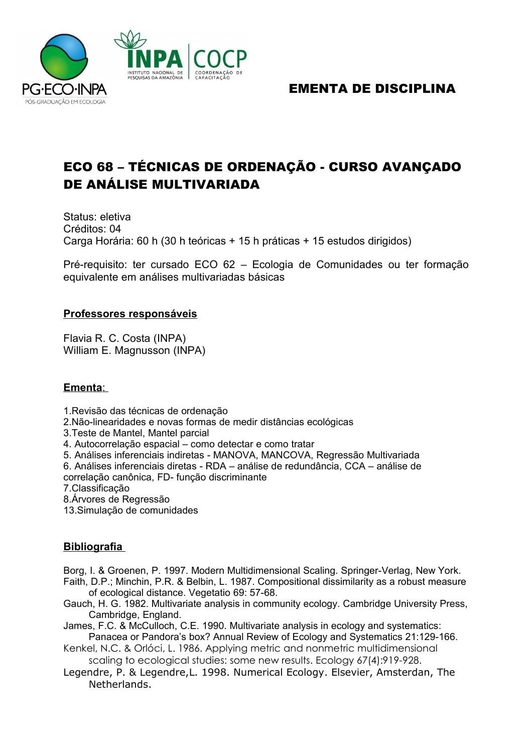

## EMENTA DE DISCIPLINA

# ECO 68 – TÉCNICAS DE ORDENAÇÃO - CURSO AVANÇADO DE ANÁLISE MULTIVARIADA

Status: eletiva Créditos: 04 Carga Horária: 60 h (30 h teóricas + 15 h práticas + 15 estudos dirigidos)

Pré-requisito: ter cursado ECO 62 – Ecologia de Comunidades ou ter formação equivalente em análises multivariadas básicas

### **Professores responsáveis**

Flavia R. C. Costa (INPA) William E. Magnusson (INPA)

#### **Ementa**:

1.Revisão das técnicas de ordenação

2.Não-linearidades e novas formas de medir distâncias ecológicas

3.Teste de Mantel, Mantel parcial

4. Autocorrelação espacial – como detectar e como tratar

5. Análises inferenciais indiretas - MANOVA, MANCOVA, Regressão Multivariada

6. Análises inferenciais diretas - RDA – análise de redundância, CCA – análise de correlação canônica, FD- função discriminante

7.Classificação

8.Árvores de Regressão

13.Simulação de comunidades

### **Bibliografia**

Borg, I. & Groenen, P. 1997. Modern Multidimensional Scaling. Springer-Verlag, New York.

- Faith, D.P.; Minchin, P.R. & Belbin, L. 1987. Compositional dissimilarity as a robust measure of ecological distance. Vegetatio 69: 57-68.
- Gauch, H. G. 1982. Multivariate analysis in community ecology. Cambridge University Press, Cambridge, England.

James, F.C. & McCulloch, C.E. 1990. Multivariate analysis in ecology and systematics: Panacea or Pandora's box? Annual Review of Ecology and Systematics 21:129-166.

- Kenkel, N.C. & Orlóci, L. 1986. Applying metric and nonmetric multidimensional scaling to ecological studies: some new results. Ecology 67(4):919-928.
- Legendre, P. & Legendre,L. 1998. Numerical Ecology. Elsevier, Amsterdan, The Netherlands.